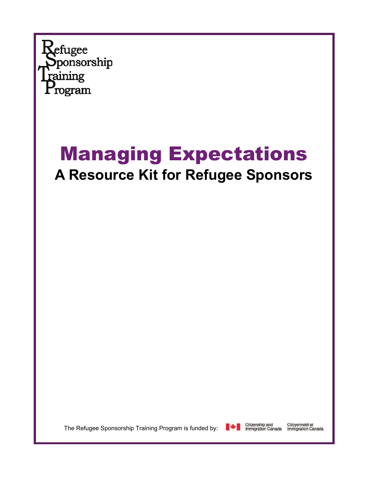

## Managing Expectations **A Resource Kit for Refugee Sponsors**

The Refugee Sponsorship Training Program is funded by:

Citizenship and<br>Immigration Canada

Citoyenneté et<br>Immigration Canada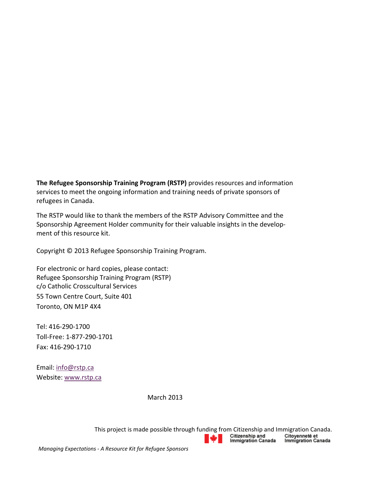**The Refugee Sponsorship Training Program (RSTP)** provides resources and information services to meet the ongoing information and training needs of private sponsors of refugees in Canada.

The RSTP would like to thank the members of the RSTP Advisory Committee and the Sponsorship Agreement Holder community for their valuable insights in the develop‐ ment of this resource kit.

Copyright © 2013 Refugee Sponsorship Training Program.

For electronic or hard copies, please contact: Refugee Sponsorship Training Program (RSTP) c/o Catholic Crosscultural Services 55 Town Centre Court, Suite 401 Toronto, ON M1P 4X4

Tel: 416‐290‐1700 Toll‐Free: 1‐877‐290‐1701 Fax: 416‐290‐1710

Email: info@rstp.ca Website: www.rstp.ca

March 2013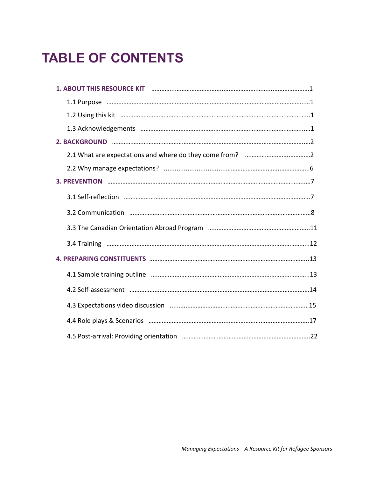### **TABLE OF CONTENTS**

| 1. ABOUT THIS RESOURCE KIT <b>manufacture and the contract of the Resource Alternation</b> 1 |
|----------------------------------------------------------------------------------------------|
|                                                                                              |
|                                                                                              |
|                                                                                              |
|                                                                                              |
|                                                                                              |
|                                                                                              |
|                                                                                              |
|                                                                                              |
|                                                                                              |
|                                                                                              |
|                                                                                              |
|                                                                                              |
|                                                                                              |
|                                                                                              |
|                                                                                              |
|                                                                                              |
|                                                                                              |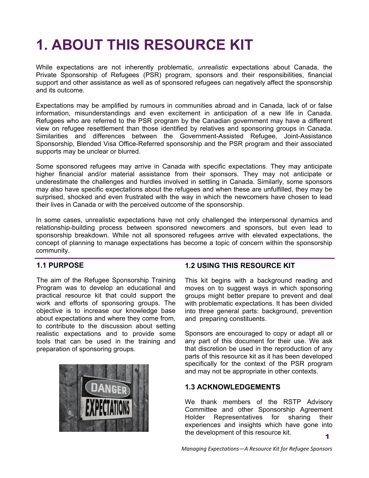### **1. ABOUT THIS RESOURCE KIT**

While expectations are not inherently problematic, *unrealistic* expectations about Canada, the Private Sponsorship of Refugees (PSR) program, sponsors and their responsibilities, financial support and other assistance as well as of sponsored refugees can negatively affect the sponsorship and its outcome.

Expectations may be amplified by rumours in communities abroad and in Canada, lack of or false information, misunderstandings and even excitement in anticipation of a new life in Canada. Refugees who are referred to the PSR program by the Canadian government may have a different view on refugee resettlement than those identified by relatives and sponsoring groups in Canada. Similarities and differences between the Government-Assisted Refugee, Joint-Assistance Sponsorship, Blended Visa Office-Referred sponsorship and the PSR program and their associated supports may be unclear or blurred.

Some sponsored refugees may arrive in Canada with specific expectations. They may anticipate higher financial and/or material assistance from their sponsors. They may not anticipate or underestimate the challenges and hurdles involved in settling in Canada. Similarly, some sponsors may also have specific expectations about the refugees and when these are unfulfilled, they may be surprised, shocked and even frustrated with the way in which the newcomers have chosen to lead their lives in Canada or with the perceived outcome of the sponsorship.

In some cases, unrealistic expectations have not only challenged the interpersonal dynamics and relationship-building process between sponsored newcomers and sponsors, but even lead to sponsorship breakdown. While not all sponsored refugees arrive with elevated expectations, the concept of planning to manage expectations has become a topic of concern within the sponsorship community.

#### **1.1 PURPOSE**

The aim of the Refugee Sponsorship Training Program was to develop an educational and practical resource kit that could support the work and efforts of sponsoring groups. The objective is to increase our knowledge base about expectations and where they come from, to contribute to the discussion about setting realistic expectations and to provide some tools that can be used in the training and preparation of sponsoring groups.



#### **1.2 USING THIS RESOURCE KIT**

This kit begins with a background reading and moves on to suggest ways in which sponsoring groups might better prepare to prevent and deal with problematic expectations. It has been divided into three general parts: background, prevention and preparing constituents.

Sponsors are encouraged to copy or adapt all or any part of this document for their use. We ask that discretion be used in the reproduction of any parts of this resource kit as it has been developed specifically for the context of the PSR program and may not be appropriate in other contexts.

#### **1.3 ACKNOWLEDGEMENTS**

1 We thank members of the RSTP Advisory Committee and other Sponsorship Agreement Holder Representatives for sharing their experiences and insights which have gone into the development of this resource kit.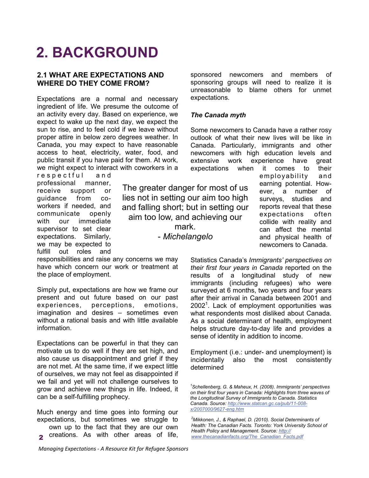### **2. BACKGROUND**

#### **2.1 WHAT ARE EXPECTATIONS AND WHERE DO THEY COME FROM?**

Expectations are a normal and necessary ingredient of life. We presume the outcome of an activity every day. Based on experience, we expect to wake up the next day, we expect the sun to rise, and to feel cold if we leave without proper attire in below zero degrees weather. In Canada, you may expect to have reasonable access to heat, electricity, water, food, and public transit if you have paid for them. At work, we might expect to interact with coworkers in a

respectful and professional manner, receive support or guidance from coworkers if needed, and communicate openly with our immediate supervisor to set clear expectations. Similarly, we may be expected to fulfill out roles and

The greater danger for most of us lies not in setting our aim too high and falling short; but in setting our aim too low, and achieving our mark. - *Michelangelo*

responsibilities and raise any concerns we may have which concern our work or treatment at the place of employment.

Simply put, expectations are how we frame our present and out future based on our past experiences, perceptions, emotions, imagination and desires – sometimes even without a rational basis and with little available information.

Expectations can be powerful in that they can motivate us to do well if they are set high, and also cause us disappointment and grief if they are not met. At the same time, if we expect little of ourselves, we may not feel as disappointed if we fail and yet will not challenge ourselves to grow and achieve new things in life. Indeed, it can be a self-fulfilling prophecy.

Much energy and time goes into forming our expectations, but sometimes we struggle to

own up to the fact that they are our own **2** creations. As with other areas of life, sponsored newcomers and members of sponsoring groups will need to realize it is unreasonable to blame others for unmet expectations.

#### *The Canada myth*

Some newcomers to Canada have a rather rosy outlook of what their new lives will be like in Canada. Particularly, immigrants and other newcomers with high education levels and extensive work experience have great expectations when it comes to their

employability and earning potential. However, a number of surveys, studies and reports reveal that these expectations often collide with reality and can affect the mental and physical health of newcomers to Canada.

Statistics Canada's *Immigrants' perspectives on their first four years in Canada* reported on the results of a longitudinal study of new immigrants (including refugees) who were surveyed at 6 months, two years and four years after their arrival in Canada between 2001 and  $2002<sup>1</sup>$ . Lack of employment opportunities was what respondents most disliked about Canada. As a social determinant of health, employment helps structure day-to-day life and provides a sense of identity in addition to income.

Employment (i.e.: under- and unemployment) is incidentally also the most consistently determined

*<sup>1</sup> Schellenberg, G. & Maheux, H. (2008). Immigrants' perspectives on their first four years in Canada: Highlights from three waves of the Longitudinal Survey of Immigrants to Canada. Statistics Canada. Source: [http://www.statcan.gc.ca/pub/11-008](http://www.statcan.gc.ca/pub/11-008-x/2007000/9627-eng.htm) [x/2007000/9627-eng.htm](http://www.statcan.gc.ca/pub/11-008-x/2007000/9627-eng.htm)*

*<sup>2</sup> Mikkonen, J., & Raphael, D. (2010). Social Determinants of Health: The Canadian Facts. Toronto: York University School of Health Policy and Management. Source: [http://](http://www.thecanadianfacts.org/The_Canadian_Facts.pdf) [www.thecanadianfacts.org/The\\_Canadian\\_Facts.pdf](http://www.thecanadianfacts.org/The_Canadian_Facts.pdf)*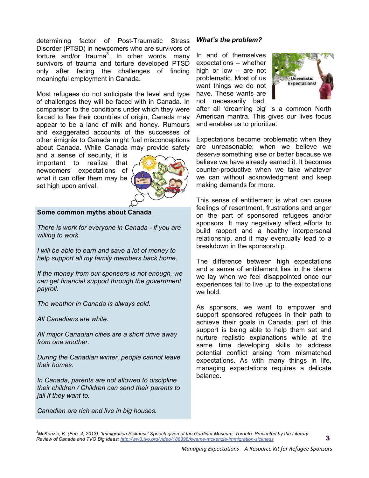determining factor of Post-Traumatic Stress Disorder (PTSD) in newcomers who are survivors of torture and/or trauma<sup>3</sup>. In other words, many survivors of trauma and torture developed PTSD only after facing the challenges of finding meaningful employment in Canada.

Most refugees do not anticipate the level and type of challenges they will be faced with in Canada. In comparison to the conditions under which they were forced to flee their countries of origin, Canada may appear to be a land of milk and honey. Rumours and exaggerated accounts of the successes of other émigrés to Canada might fuel misconceptions about Canada. While Canada may provide safety

and a sense of security, it is important to realize that newcomers' expectations of what it can offer them may be set high upon arrival.



#### **Some common myths about Canada**

*There is work for everyone in Canada - if you are willing to work.* 

*I will be able to earn and save a lot of money to help support all my family members back home.* 

*If the money from our sponsors is not enough, we can get financial support through the government payroll.* 

*The weather in Canada is always cold.* 

*All Canadians are white.* 

*All major Canadian cities are a short drive away from one another.* 

*During the Canadian winter, people cannot leave their homes.* 

*In Canada, parents are not allowed to discipline their children / Children can send their parents to jail if they want to.* 

*Canadian are rich and live in big houses.* 

#### *What's the problem?*

In and of themselves expectations – whether high or low – are not problematic. Most of us want things we do not have. These wants are not necessarily bad,



after all 'dreaming big' is a common North American mantra. This gives our lives focus and enables us to prioritize.

Expectations become problematic when they are unreasonable; when we believe we *deserve* something else or better because we believe we have already earned it. It becomes counter-productive when we take whatever we can without acknowledgment and keep making demands for more.

This sense of entitlement is what can cause feelings of resentment, frustrations and anger on the part of sponsored refugees and/or sponsors. It may negatively affect efforts to build rapport and a healthy interpersonal relationship, and it may eventually lead to a breakdown in the sponsorship.

The difference between high expectations and a sense of entitlement lies in the blame we lay when we feel disappointed once our experiences fail to live up to the expectations we hold.

As sponsors, we want to empower and support sponsored refugees in their path to achieve their goals in Canada; part of this support is being able to help them set and nurture realistic explanations while at the same time developing skills to address potential conflict arising from mismatched expectations. As with many things in life, managing expectations requires a delicate balance.

*3 McKenzie, K. (Feb. 4, 2013). 'Immigration Sickness' Speech given at the Gardiner Museum, Toronto. Presented by the Literary Review of Canada and TVO Big Ideas:<http://ww3.tvo.org/video/188398/kwame-mckenzie-immigration-sickness>*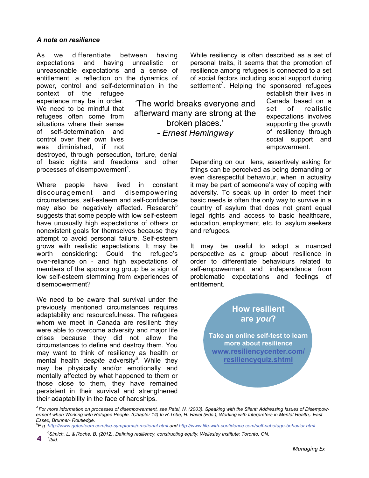#### *A note on resilience*

As we differentiate between having expectations and having unrealistic or unreasonable expectations and a sense of entitlement, a reflection on the dynamics of power, control and self-determination in the

context of the refugee experience may be in order. We need to be mindful that refugees often come from situations where their sense of self-determination and control over their own lives was diminished, if not While resiliency is often described as a set of personal traits, it seems that the promotion of resilience among refugees is connected to a set of social factors including social support during settlement<sup>7</sup>. Helping the sponsored refugees

'The world breaks everyone and afterward many are strong at the broken places.' - *Ernest Hemingway*

establish their lives in Canada based on a set of realistic expectations involves supporting the growth of resiliency through social support and empowerment.

Depending on our lens, assertively asking for things can be perceived as being demanding or even disrespectful behaviour, when in actuality it may be part of someone's way of coping with adversity. To speak up in order to meet their basic needs is often the only way to survive in a country of asylum that does not grant equal legal rights and access to basic healthcare, education, employment, etc. to asylum seekers and refugees.

It may be useful to adopt a nuanced perspective as a group about resilience in order to differentiate behaviours related to self-empowerment and independence from problematic expectations and feelings of entitlement.

> **How resilient are** *you***?**

**Take an online self-test to learn more about resilience [www.resiliencycenter.com/](http://www.resiliencycenter.com/resiliencyquiz.shtml) [resiliencyquiz.shtml](http://www.resiliencycenter.com/resiliencyquiz.shtml)**

destroyed, through persecution, torture, denial of basic rights and freedoms and other processes of disempowerment<sup>4</sup>.

Where people have lived in constant discouragement and disempowering circumstances, self-esteem and self-confidence may also be negatively affected. Research $5$ suggests that some people with low self-esteem have unusually high expectations of others or nonexistent goals for themselves because they attempt to avoid personal failure. Self-esteem grows with realistic expectations. It may be worth considering: Could the refugee's over-reliance on - and high expectations of members of the sponsoring group be a sign of low self-esteem stemming from experiences of disempowerment?

We need to be aware that survival under the previously mentioned circumstances requires adaptability and resourcefulness. The refugees whom we meet in Canada are resilient: they were able to overcome adversity and major life crises because they did not allow the circumstances to define and destroy them. You may want to think of resiliency as health or mental health *despite* adversity<sup>6</sup>. While they may be physically and/or emotionally and mentally affected by what happened to them or those close to them, they have remained persistent in their survival and strengthened their adaptability in the face of hardships.

*4 For more information on processes of disempowerment, see Patel, N. (2003). Speaking with the Silent: Addressing Issues of Disempowerment when Working with Refugee People. (Chapter 14) In R.Tribe, H. Ravel (Eds.), Working with Interpreters in Mental Health,. East Essex, Brunner- Routledge.* 

*5 E.g.[:http://www.getesteem.com/lse-symptoms/emotional.html](http://www.getesteem.com/lse-symptoms/emotional.html) and [http://www.life-with-confidence.com/self-sabotage-behavior.htm](http://www.life-with-confidence.com/self-sabotage-behavior.html)l*

*<sup>6</sup> Simich, L. & Roche, B. (2012). Defining resiliency, constructing equity. Wellesley Institute: Toronto, ON. 7* <sup>4</sup>*Ibid.*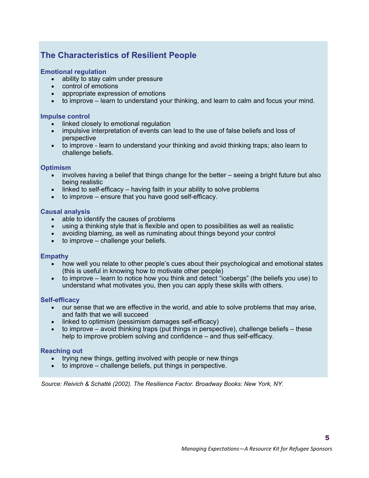### **The Characteristics of Resilient People**

#### **Emotional regulation**

- ability to stay calm under pressure
- control of emotions
- appropriate expression of emotions
- to improve learn to understand your thinking, and learn to calm and focus your mind.

#### **Impulse control**

- linked closely to emotional regulation
- impulsive interpretation of events can lead to the use of false beliefs and loss of perspective
- to improve learn to understand your thinking and avoid thinking traps; also learn to challenge beliefs.

#### **Optimism**

- involves having a belief that things change for the better seeing a bright future but also being realistic
- $\bullet$  linked to self-efficacy having faith in your ability to solve problems
- $\bullet$  to improve ensure that you have good self-efficacy.

#### **Causal analysis**

- able to identify the causes of problems
- using a thinking style that is flexible and open to possibilities as well as realistic
- avoiding blaming, as well as ruminating about things beyond your control
- $\bullet$  to improve challenge your beliefs.

#### **Empathy**

- how well you relate to other people's cues about their psychological and emotional states (this is useful in knowing how to motivate other people)
- to improve learn to notice how you think and detect "icebergs" (the beliefs you use) to understand what motivates you, then you can apply these skills with others.

#### **Self-efficacy**

- our sense that we are effective in the world, and able to solve problems that may arise, and faith that we will succeed
- linked to optimism (pessimism damages self-efficacy)
- $\bullet$  to improve avoid thinking traps (put things in perspective), challenge beliefs these help to improve problem solving and confidence – and thus self-efficacy.

#### **Reaching out**

- trying new things, getting involved with people or new things
- $\bullet$  to improve challenge beliefs, put things in perspective.

*Source: Reivich & Schatté (2002). The Resilience Factor. Broadway Books: New York, NY.*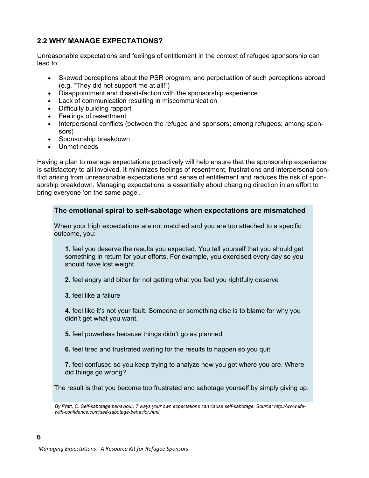#### **2.2 WHY MANAGE EXPECTATIONS?**

Unreasonable expectations and feelings of entitlement in the context of refugee sponsorship can lead to:

- Skewed perceptions about the PSR program, and perpetuation of such perceptions abroad (e.g. "They did not support me at all!")
- Disappointment and dissatisfaction with the sponsorship experience
- Lack of communication resulting in miscommunication
- Difficulty building rapport
- Feelings of resentment
- Interpersonal conflicts (between the refugee and sponsors; among refugees; among sponsors)
- Sponsorship breakdown
- Unmet needs

Having a plan to manage expectations proactively will help ensure that the sponsorship experience is satisfactory to all involved. It minimizes feelings of resentment, frustrations and interpersonal conflict arising from unreasonable expectations and sense of entitlement and reduces the risk of sponsorship breakdown. Managing expectations is essentially about changing direction in an effort to bring everyone 'on the same page'.

#### **The emotional spiral to self-sabotage when expectations are mismatched**

When your high expectations are not matched and you are too attached to a specific outcome, you:

**1.** feel you deserve the results you expected. You tell yourself that you should get something in return for your efforts. For example, you exercised every day so you should have lost weight.

**2.** feel angry and bitter for not getting what you feel you rightfully deserve

**3.** feel like a failure

**4.** feel like it's not your fault. Someone or something else is to blame for why you didn't get what you want.

**5.** feel powerless because things didn't go as planned

**6.** feel tired and frustrated waiting for the results to happen so you quit

**7.** feel confused so you keep trying to analyze how you got where you are. Where did things go wrong?

The result is that you become too frustrated and sabotage yourself by simply giving up.

*By Pratt, C. Self-sabotage behaviour: 7 ways your own expectations can cause self-sabotage. Source: http://www.lifewith-confidence.com/self-sabotage-behavior.html*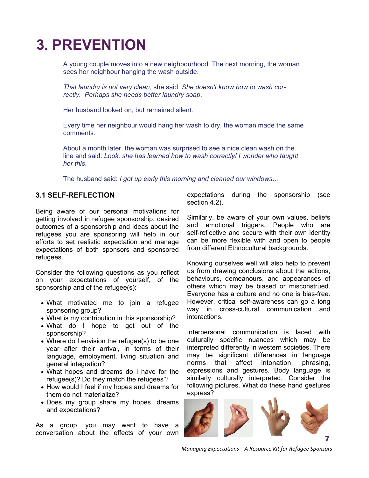### **3. PREVENTION**

A young couple moves into a new neighbourhood. The next morning, the woman sees her neighbour hanging the wash outside.

*That laundry is not very clean*, she said. *She doesn't know how to wash correctly. Perhaps she needs better laundry soap*.

Her husband looked on, but remained silent.

Every time her neighbour would hang her wash to dry, the woman made the same comments.

About a month later, the woman was surprised to see a nice clean wash on the line and said: *Look, she has learned how to wash correctly! I wonder who taught her this*.

The husband said: *I got up early this morning and cleaned our windows*…

#### **3.1 SELF-REFLECTION**

Being aware of our personal motivations for getting involved in refugee sponsorship, desired outcomes of a sponsorship and ideas about the refugees you are sponsoring will help in our efforts to set realistic expectation and manage expectations of both sponsors and sponsored refugees.

Consider the following questions as you reflect on your expectations of yourself, of the sponsorship and of the refugee(s):

- What motivated me to join a refugee sponsoring group?
- What is my contribution in this sponsorship?
- What do I hope to get out of the sponsorship?
- Where do I envision the refugee(s) to be one year after their arrival, in terms of their language, employment, living situation and general integration?
- What hopes and dreams do I have for the refugee(s)? Do they match the refugees'?
- How would I feel if my hopes and dreams for them do not materialize?
- Does my group share my hopes, dreams and expectations?

As a group, you may want to have a conversation about the effects of your own expectations during the sponsorship (see section 4.2).

Similarly, be aware of your own values, beliefs and emotional triggers. People who are self-reflective and secure with their own identity can be more flexible with and open to people from different Ethnocultural backgrounds.

Knowing ourselves well will also help to prevent us from drawing conclusions about the actions, behaviours, demeanours, and appearances of others which may be biased or misconstrued. Everyone has a culture and no one is bias-free. However, critical self-awareness can go a long way in cross-cultural communication and interactions.

Interpersonal communication is laced with culturally specific nuances which may be interpreted differently in western societies. There may be significant differences in language norms that affect intonation, phrasing, expressions and gestures. Body language is similarly culturally interpreted. Consider the following pictures. What do these hand gestures express?



*Managing Expectations—A Resource Kit for Refugee Sponsors*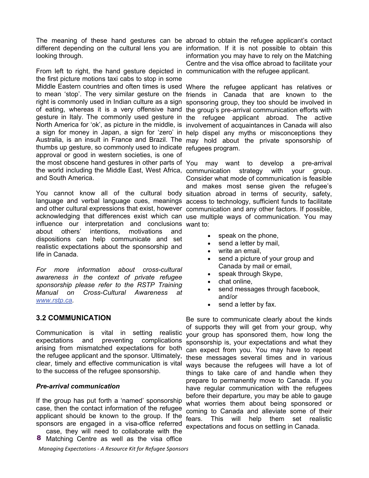looking through.

From left to right, the hand gesture depicted in communication with the refugee applicant. the first picture motions taxi cabs to stop in some Middle Eastern countries and often times is used Where the refugee applicant has relatives or to mean 'stop'. The very similar gesture on the friends in Canada that are known to the right is commonly used in Indian culture as a sign sponsoring group, they too should be involved in of eating, whereas it is a very offensive hand the group's pre-arrival communication efforts with gesture in Italy. The commonly used gesture in the refugee applicant abroad. The active North America for 'ok', as picture in the middle, is involvement of acquaintances in Canada will also a sign for money in Japan, a sign for 'zero' in help dispel any myths or misconceptions they Australia, is an insult in France and Brazil. The may hold about the private sponsorship of thumbs up gesture, so commonly used to indicate refugees program. approval or good in western societies, is one of the most obscene hand gestures in other parts of You may want to develop a pre-arrival the world including the Middle East, West Africa, communication strategy with your group. and South America.

You cannot know all of the cultural body situation abroad in terms of security, safety, language and verbal language cues, meanings access to technology, sufficient funds to facilitate and other cultural expressions that exist, however communication and any other factors. If possible, acknowledging that differences exist which can use multiple ways of communication. You may influence our interpretation and conclusions want to: about others' intentions, motivations and dispositions can help communicate and set realistic expectations about the sponsorship and life in Canada.

*For more information about cross-cultural awareness in the context of private refugee sponsorship please refer to the RSTP Training Manual on Cross-Cultural Awareness at [www.rstp.ca](http://www.rstp.ca/).* 

#### **3.2 COMMUNICATION**

Communication is vital in setting realistic expectations and preventing complications arising from mismatched expectations for both the refugee applicant and the sponsor. Ultimately, clear, timely and effective communication is vital to the success of the refugee sponsorship.

#### *Pre-arrival communication*

If the group has put forth a 'named' sponsorship case, then the contact information of the refugee applicant should be known to the group. If the sponsors are engaged in a visa-office referred

case, they will need to collaborate with the 8 Matching Centre as well as the visa office

*Managing Expectations ‐ A Resource Kit for Refugee Sponsors*

The meaning of these hand gestures can be abroad to obtain the refugee applicant's contact different depending on the cultural lens you are information. If it is not possible to obtain this information you may have to rely on the Matching Centre and the visa office abroad to facilitate your

Consider what mode of communication is feasible and makes most sense given the refugee's

- speak on the phone,
- send a letter by mail,
- write an email,
- send a picture of your group and Canada by mail or email,
- speak through Skype,
- chat online,
- send messages through facebook, and/or
- send a letter by fax.

Be sure to communicate clearly about the kinds of supports they will get from your group, why your group has sponsored them, how long the sponsorship is, your expectations and what they can expect from you. You may have to repeat these messages several times and in various ways because the refugees will have a lot of things to take care of and handle when they prepare to permanently move to Canada. If you have regular communication with the refugees before their departure, you may be able to gauge what worries them about being sponsored or coming to Canada and alleviate some of their fears. This will help them set realistic expectations and focus on settling in Canada.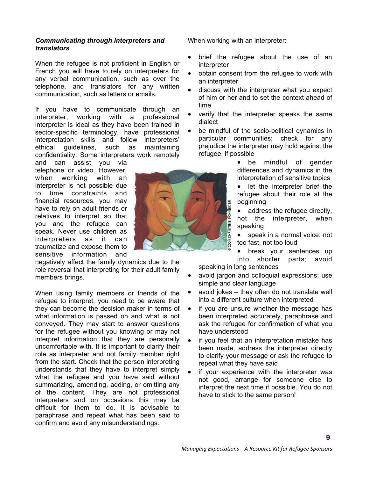#### *Communicating through interpreters and translators*

When the refugee is not proficient in English or French you will have to rely on interpreters for any verbal communication, such as over the telephone, and translators for any written communication, such as letters or emails.

If you have to communicate through an interpreter, working with a professional interpreter is ideal as they have been trained in sector-specific terminology, have professional interpretation skills and follow interpreters' ethical guidelines, such as maintaining confidentiality. Some interpreters work remotely

and can assist you via telephone or video. However, when working with an interpreter is not possible due to time constraints and financial resources, you may have to rely on adult friends or relatives to interpret so that you and the refugee can speak. Never use children as interpreters as it can traumatize and expose them to sensitive information and

negatively affect the family dynamics due to the role reversal that interpreting for their adult family members brings.

When using family members or friends of the refugee to interpret, you need to be aware that they can become the decision maker in terms of what information is passed on and what is not conveyed. They may start to answer questions for the refugee without you knowing or may not interpret information that they are personally uncomfortable with. It is important to clarify their role as interpreter and not family member right from the start. Check that the person interpreting understands that they have to interpret simply what the refugee and you have said without summarizing, amending, adding, or omitting any of the content. They are not professional interpreters and on occasions this may be difficult for them to do. It is advisable to paraphrase and repeat what has been said to confirm and avoid any misunderstandings.

When working with an interpreter:

- brief the refugee about the use of an interpreter
- obtain consent from the refugee to work with an interpreter
- discuss with the interpreter what you expect of him or her and to set the context ahead of time
- verify that the interpreter speaks the same dialect
- be mindful of the socio-political dynamics in particular communities; check for any prejudice the interpreter may hold against the refugee, if possible
	- be mindful of gender differences and dynamics in the interpretation of sensitive topics
	- let the interpreter brief the refugee about their role at the beginning
	- address the refugee directly, not the interpreter, when speaking
	- speak in a normal voice: not too fast, not too loud

• break your sentences up into shorter parts; avoid speaking in long sentences

- avoid jargon and colloquial expressions; use simple and clear language
- avoid jokes they often do not translate well into a different culture when interpreted
- if you are unsure whether the message has been interpreted accurately, paraphrase and ask the refugee for confirmation of what you have understood
- if you feel that an interpretation mistake has been made, address the interpreter directly to clarify your message or ask the refugee to repeat what they have said
- if your experience with the interpreter was not good, arrange for someone else to interpret the next time if possible. You do not have to stick to the same person!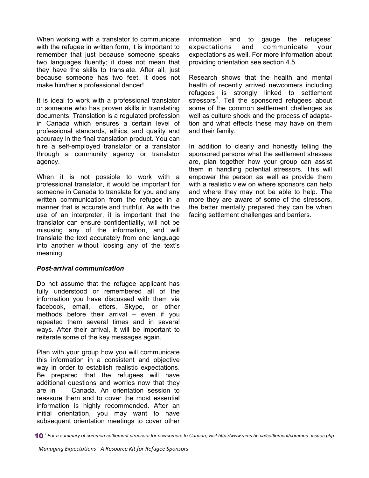When working with a translator to communicate with the refugee in written form, it is important to remember that just because someone speaks two languages fluently; it does not mean that they have the skills to translate. After all, just because someone has two feet, it does not make him/her a professional dancer!

It is ideal to work with a professional translator or someone who has proven skills in translating documents. Translation is a regulated profession in Canada which ensures a certain level of professional standards, ethics, and quality and accuracy in the final translation product. You can hire a self-employed translator or a translator through a community agency or translator agency.

When it is not possible to work with a professional translator, it would be important for someone in Canada to translate for you and any written communication from the refugee in a manner that is accurate and truthful. As with the use of an interpreter, it is important that the translator can ensure confidentiality, will not be misusing any of the information, and will translate the text accurately from one language into another without loosing any of the text's meaning.

#### *Post-arrival communication*

Do not assume that the refugee applicant has fully understood or remembered all of the information you have discussed with them via facebook, email, letters, Skype, or other methods before their arrival – even if you repeated them several times and in several ways. After their arrival, it will be important to reiterate some of the key messages again.

Plan with your group how you will communicate this information in a consistent and objective way in order to establish realistic expectations. Be prepared that the refugees will have additional questions and worries now that they are in Canada. An orientation session to reassure them and to cover the most essential information is highly recommended. After an initial orientation, you may want to have subsequent orientation meetings to cover other

information and to gauge the refugees' expectations and communicate your expectations as well. For more information about providing orientation see section 4.5.

Research shows that the health and mental health of recently arrived newcomers including refugees is strongly linked to settlement stressors<sup>1</sup>. Tell the sponsored refugees about some of the common settlement challenges as well as culture shock and the process of adaptation and what effects these may have on them and their family.

In addition to clearly and honestly telling the sponsored persons what the settlement stresses are, plan together how your group can assist them in handling potential stressors. This will empower the person as well as provide them with a realistic view on where sponsors can help and where they may not be able to help. The more they are aware of some of the stressors, the better mentally prepared they can be when facing settlement challenges and barriers.

<sup>10</sup> *1 For a summary of common settlement stressors for newcomers to Canada, visit http://www.vircs.bc.ca/settlement/common\_issues.php*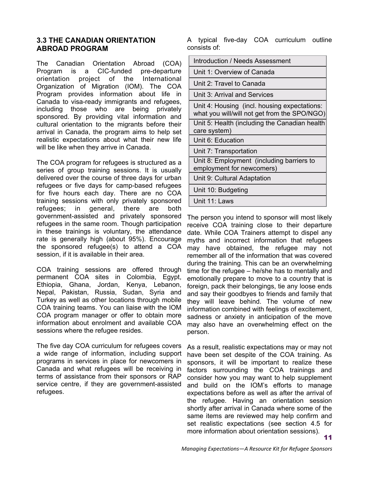#### **3.3 THE CANADIAN ORIENTATION ABROAD PROGRAM**

The Canadian Orientation Abroad (COA) Program is a CIC-funded pre-departure orientation project of the International Organization of Migration (IOM). The COA Program provides information about life in Canada to visa-ready immigrants and refugees, including those who are being privately sponsored. By providing vital information and cultural orientation to the migrants before their arrival in Canada, the program aims to help set realistic expectations about what their new life will be like when they arrive in Canada.

The COA program for refugees is structured as a series of group training sessions. It is usually delivered over the course of three days for urban refugees or five days for camp-based refugees for five hours each day. There are no COA training sessions with only privately sponsored refugees; in general, there are both government-assisted and privately sponsored refugees in the same room. Though participation in these trainings is voluntary, the attendance rate is generally high (about 95%). Encourage the sponsored refugee(s) to attend a COA session, if it is available in their area.

COA training sessions are offered through permanent COA sites in Colombia, Egypt, Ethiopia, Ghana, Jordan, Kenya, Lebanon, Nepal, Pakistan, Russia, Sudan, Syria and Turkey as well as other locations through mobile COA training teams. You can liaise with the IOM COA program manager or offer to obtain more information about enrolment and available COA sessions where the refugee resides.

The five day COA curriculum for refugees covers a wide range of information, including support programs in services in place for newcomers in Canada and what refugees will be receiving in terms of assistance from their sponsors or RAP service centre, if they are government-assisted refugees.

A typical five-day COA curriculum outline consists of:

| Introduction / Needs Assessment                                                              |
|----------------------------------------------------------------------------------------------|
| Unit 1: Overview of Canada                                                                   |
| Unit 2: Travel to Canada                                                                     |
| Unit 3: Arrival and Services                                                                 |
| Unit 4: Housing (incl. housing expectations:<br>what you will/will not get from the SPO/NGO) |
| Unit 5: Health (including the Canadian health<br>care system)                                |
| Unit 6: Education                                                                            |
| Unit 7: Transportation                                                                       |
| Unit 8: Employment (including barriers to<br>employment for newcomers)                       |
| Unit 9: Cultural Adaptation                                                                  |
| Unit 10: Budgeting                                                                           |
| Unit 11: Laws                                                                                |

The person you intend to sponsor will most likely receive COA training close to their departure date. While COA Trainers attempt to dispel any myths and incorrect information that refugees may have obtained, the refugee may not remember all of the information that was covered during the training. This can be an overwhelming time for the refugee – he/she has to mentally and emotionally prepare to move to a country that is foreign, pack their belongings, tie any loose ends and say their goodbyes to friends and family that they will leave behind. The volume of new information combined with feelings of excitement, sadness or anxiety in anticipation of the move may also have an overwhelming effect on the person.

As a result, realistic expectations may or may not have been set despite of the COA training. As sponsors, it will be important to realize these factors surrounding the COA trainings and consider how you may want to help supplement and build on the IOM's efforts to manage expectations before as well as after the arrival of the refugee. Having an orientation session shortly after arrival in Canada where some of the same items are reviewed may help confirm and set realistic expectations (see section 4.5 for more information about orientation sessions). 11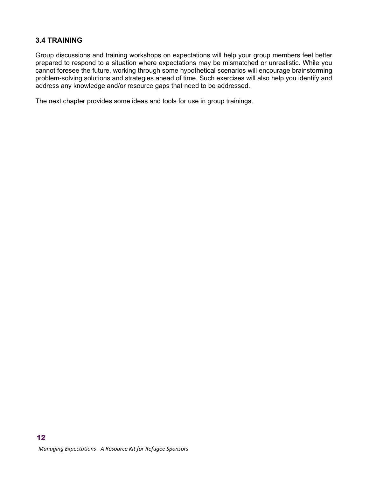#### **3.4 TRAINING**

Group discussions and training workshops on expectations will help your group members feel better prepared to respond to a situation where expectations may be mismatched or unrealistic. While you cannot foresee the future, working through some hypothetical scenarios will encourage brainstorming problem-solving solutions and strategies ahead of time. Such exercises will also help you identify and address any knowledge and/or resource gaps that need to be addressed.

The next chapter provides some ideas and tools for use in group trainings.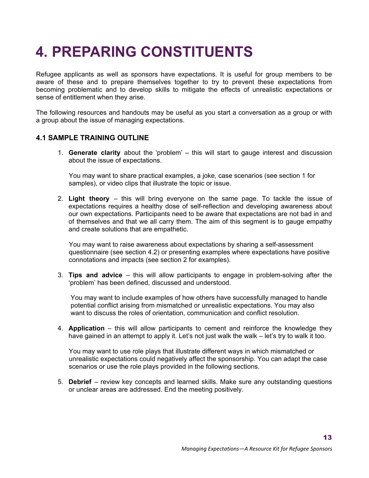### **4. PREPARING CONSTITUENTS**

Refugee applicants as well as sponsors have expectations. It is useful for group members to be aware of these and to prepare themselves together to try to prevent these expectations from becoming problematic and to develop skills to mitigate the effects of unrealistic expectations or sense of entitlement when they arise.

The following resources and handouts may be useful as you start a conversation as a group or with a group about the issue of managing expectations.

#### **4.1 SAMPLE TRAINING OUTLINE**

1. **Generate clarity** about the 'problem' – this will start to gauge interest and discussion about the issue of expectations.

 You may want to share practical examples, a joke, case scenarios (see section 1 for samples), or video clips that illustrate the topic or issue.

2. **Light theory** – this will bring everyone on the same page. To tackle the issue of expectations requires a healthy dose of self-reflection and developing awareness about our own expectations. Participants need to be aware that expectations are not bad in and of themselves and that we all carry them. The aim of this segment is to gauge empathy and create solutions that are empathetic.

 You may want to raise awareness about expectations by sharing a self-assessment questionnaire (see section 4.2) or presenting examples where expectations have positive connotations and impacts (see section 2 for examples).

3. **Tips and advice** – this will allow participants to engage in problem-solving after the 'problem' has been defined, discussed and understood.

 You may want to include examples of how others have successfully managed to handle potential conflict arising from mismatched or unrealistic expectations. You may also want to discuss the roles of orientation, communication and conflict resolution.

4. **Application** – this will allow participants to cement and reinforce the knowledge they have gained in an attempt to apply it. Let's not just walk the walk – let's try to walk it too.

 You may want to use role plays that illustrate different ways in which mismatched or unrealistic expectations could negatively affect the sponsorship. You can adapt the case scenarios or use the role plays provided in the following sections.

5. **Debrief** – review key concepts and learned skills. Make sure any outstanding questions or unclear areas are addressed. End the meeting positively.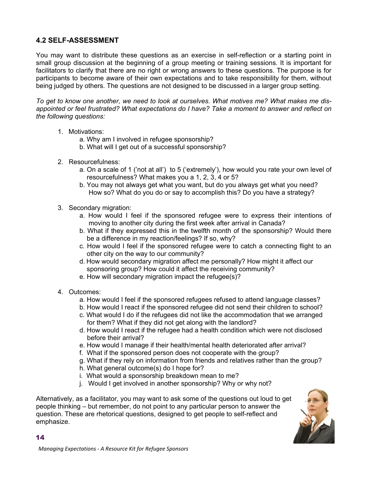#### **4.2 SELF-ASSESSMENT**

You may want to distribute these questions as an exercise in self-reflection or a starting point in small group discussion at the beginning of a group meeting or training sessions. It is important for facilitators to clarify that there are no right or wrong answers to these questions. The purpose is for participants to become aware of their own expectations and to take responsibility for them, without being judged by others. The questions are not designed to be discussed in a larger group setting.

*To get to know one another, we need to look at ourselves. What motives me? What makes me disappointed or feel frustrated? What expectations do I have? Take a moment to answer and reflect on the following questions:* 

- 1. Motivations:
	- a. Why am I involved in refugee sponsorship?
	- b. What will I get out of a successful sponsorship?
- 2. Resourcefulness:
	- a. On a scale of 1 ('not at all') to 5 ('extremely'), how would you rate your own level of resourcefulness? What makes you a 1, 2, 3, 4 or 5?
	- b. You may not always get what you want, but do you always get what you need? How so? What do you do or say to accomplish this? Do you have a strategy?
- 3. Secondary migration:
	- a. How would I feel if the sponsored refugee were to express their intentions of moving to another city during the first week after arrival in Canada?
	- b. What if they expressed this in the twelfth month of the sponsorship? Would there be a difference in my reaction/feelings? If so, why?
	- c. How would I feel if the sponsored refugee were to catch a connecting flight to an other city on the way to our community?
	- d. How would secondary migration affect me personally? How might it affect our sponsoring group? How could it affect the receiving community?
	- e. How will secondary migration impact the refugee(s)?
- 4. Outcomes:

14

- a. How would I feel if the sponsored refugees refused to attend language classes?
- b. How would I react if the sponsored refugee did not send their children to school?
- c. What would I do if the refugees did not like the accommodation that we arranged for them? What if they did not get along with the landlord?
- d. How would I react if the refugee had a health condition which were not disclosed before their arrival?
- e. How would I manage if their health/mental health deteriorated after arrival?
- f. What if the sponsored person does not cooperate with the group?
- g. What if they rely on information from friends and relatives rather than the group?
- h. What general outcome(s) do I hope for?
- i. What would a sponsorship breakdown mean to me?
- j. Would I get involved in another sponsorship? Why or why not?

Alternatively, as a facilitator, you may want to ask some of the questions out loud to get people thinking – but remember, do not point to any particular person to answer the question. These are rhetorical questions, designed to get people to self-reflect and emphasize.

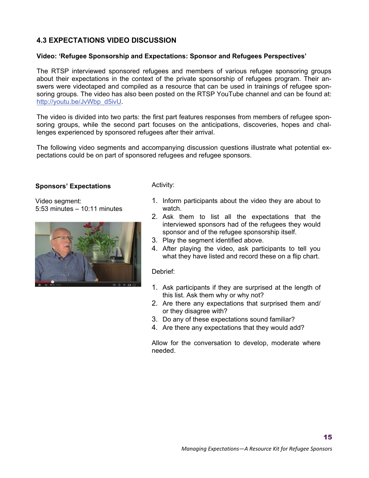#### **4.3 EXPECTATIONS VIDEO DISCUSSION**

#### **Video: 'Refugee Sponsorship and Expectations: Sponsor and Refugees Perspectives'**

The RTSP interviewed sponsored refugees and members of various refugee sponsoring groups about their expectations in the context of the private sponsorship of refugees program. Their answers were videotaped and compiled as a resource that can be used in trainings of refugee sponsoring groups. The video has also been posted on the RTSP YouTube channel and can be found at: [http://youtu.be/JvWbp\\_d5ivU](http://youtu.be/JvWbp_d5ivU).

The video is divided into two parts: the first part features responses from members of refugee sponsoring groups, while the second part focuses on the anticipations, discoveries, hopes and challenges experienced by sponsored refugees after their arrival.

The following video segments and accompanying discussion questions illustrate what potential expectations could be on part of sponsored refugees and refugee sponsors.

#### **Sponsors' Expectations**

Video segment: 5:53 minutes – 10:11 minutes



Activity:

- 1. Inform participants about the video they are about to watch.
- 2. Ask them to list all the expectations that the interviewed sponsors had of the refugees they would sponsor and of the refugee sponsorship itself.
- 3. Play the segment identified above.
- 4. After playing the video, ask participants to tell you what they have listed and record these on a flip chart.

Debrief:

- 1. Ask participants if they are surprised at the length of this list. Ask them why or why not?
- 2. Are there any expectations that surprised them and/ or they disagree with?
- 3. Do any of these expectations sound familiar?
- 4. Are there any expectations that they would add?

Allow for the conversation to develop, moderate where needed.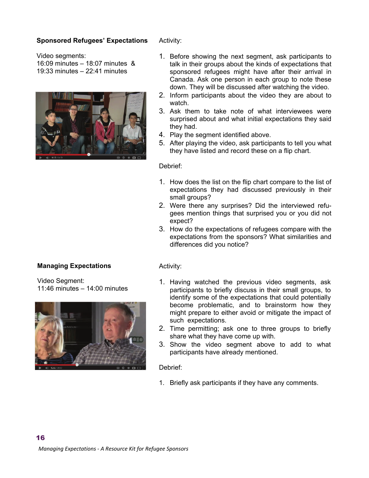#### **Sponsored Refugees' Expectations**

Activity:

Video segments:

- 16:09 minutes 18:07 minutes &
- 19:33 minutes 22:41 minutes



#### **Managing Expectations**

16

Video Segment: 11:46 minutes – 14:00 minutes



- 1. Before showing the next segment, ask participants to talk in their groups about the kinds of expectations that sponsored refugees might have after their arrival in Canada. Ask one person in each group to note these down. They will be discussed after watching the video.
- 2. Inform participants about the video they are about to watch.
- 3. Ask them to take note of what interviewees were surprised about and what initial expectations they said they had.
- 4. Play the segment identified above.
- 5. After playing the video, ask participants to tell you what they have listed and record these on a flip chart.

#### Debrief:

- 1. How does the list on the flip chart compare to the list of expectations they had discussed previously in their small groups?
- 2. Were there any surprises? Did the interviewed refugees mention things that surprised you or you did not expect?
- 3. How do the expectations of refugees compare with the expectations from the sponsors? What similarities and differences did you notice?

#### Activity:

- 1. Having watched the previous video segments, ask participants to briefly discuss in their small groups, to identify some of the expectations that could potentially become problematic, and to brainstorm how they might prepare to either avoid or mitigate the impact of such expectations.
- 2. Time permitting; ask one to three groups to briefly share what they have come up with.
- 3. Show the video segment above to add to what participants have already mentioned.

#### Debrief:

1. Briefly ask participants if they have any comments.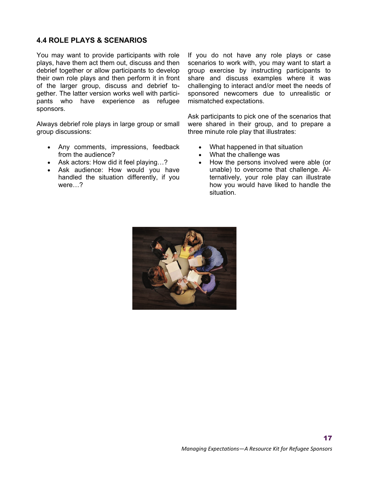#### **4.4 ROLE PLAYS & SCENARIOS**

You may want to provide participants with role plays, have them act them out, discuss and then debrief together or allow participants to develop their own role plays and then perform it in front of the larger group, discuss and debrief together. The latter version works well with participants who have experience as refugee sponsors.

Always debrief role plays in large group or small group discussions:

- Any comments, impressions, feedback from the audience?
- Ask actors: How did it feel playing…?
- Ask audience: How would you have handled the situation differently, if you were…?

If you do not have any role plays or case scenarios to work with, you may want to start a group exercise by instructing participants to share and discuss examples where it was challenging to interact and/or meet the needs of sponsored newcomers due to unrealistic or mismatched expectations.

Ask participants to pick one of the scenarios that were shared in their group, and to prepare a three minute role play that illustrates:

- What happened in that situation
- What the challenge was
- How the persons involved were able (or unable) to overcome that challenge. Alternatively, your role play can illustrate how you would have liked to handle the situation.

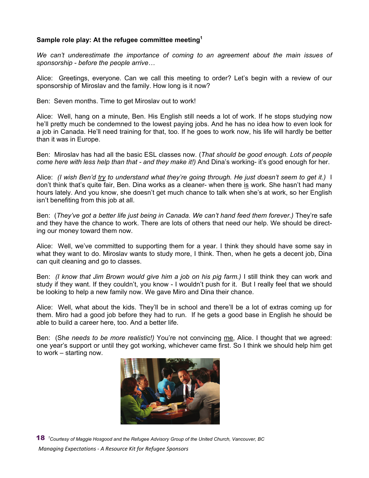#### **Sample role play: At the refugee committee meeting1**

*We can't underestimate the importance of coming to an agreement about the main issues of sponsorship - before the people arrive…* 

Alice: Greetings, everyone. Can we call this meeting to order? Let's begin with a review of our sponsorship of Miroslav and the family. How long is it now?

Ben: Seven months. Time to get Miroslav out to work!

Alice: Well, hang on a minute, Ben. His English still needs a lot of work. If he stops studying now he'll pretty much be condemned to the lowest paying jobs. And he has no idea how to even look for a job in Canada. He'll need training for that, too. If he goes to work now, his life will hardly be better than it was in Europe.

Ben: Miroslav has had all the basic ESL classes now. (*That should be good enough. Lots of people come here with less help than that - and they make it!)* And Dina's working- it's good enough for her.

Alice: *(I wish Ben'd try to understand what they're going through. He just doesn't seem to get it.)* I don't think that's quite fair, Ben. Dina works as a cleaner- when there is work. She hasn't had many hours lately. And you know, she doesn't get much chance to talk when she's at work, so her English isn't benefiting from this job at all.

Ben: (*They've got a better life just being in Canada. We can't hand feed them forever.)* They're safe and they have the chance to work. There are lots of others that need our help. We should be directing our money toward them now.

Alice: Well, we've committed to supporting them for a year. I think they should have some say in what they want to do. Miroslav wants to study more, I think. Then, when he gets a decent job, Dina can quit cleaning and go to classes.

Ben: *(I know that Jim Brown would give him a job on his pig farm.)* I still think they can work and study if they want. If they couldn't, you know - I wouldn't push for it. But I really feel that we should be looking to help a new family now. We gave Miro and Dina their chance.

Alice: Well, what about the kids. They'll be in school and there'll be a lot of extras coming up for them. Miro had a good job before they had to run. If he gets a good base in English he should be able to build a career here, too. And a better life.

Ben: (Sh*e needs to be more realistic!)* You're not convincing me, Alice. I thought that we agreed: one year's support or until they got working, whichever came first. So I think we should help him get to work – starting now.



*Managing Expectations ‐ A Resource Kit for Refugee Sponsors* 18 *1 Courtesy of Maggie Hosgood and the Refugee Advisory Group of the United Church, Vancouver, BC*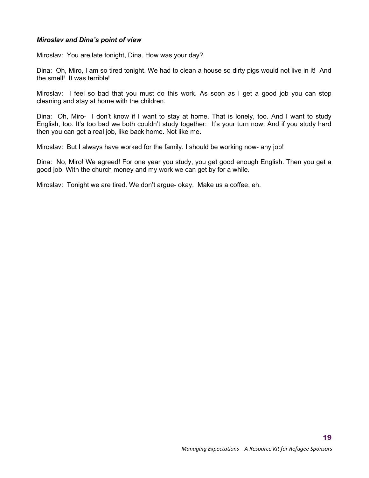#### *Miroslav and Dina's point of view*

Miroslav: You are late tonight, Dina. How was your day?

Dina: Oh, Miro, I am so tired tonight. We had to clean a house so dirty pigs would not live in it! And the smell! It was terrible!

Miroslav: I feel so bad that you must do this work. As soon as I get a good job you can stop cleaning and stay at home with the children.

Dina: Oh, Miro- I don't know if I want to stay at home. That is lonely, too. And I want to study English, too. It's too bad we both couldn't study together: It's your turn now. And if you study hard then you can get a real job, like back home. Not like me.

Miroslav: But I always have worked for the family. I should be working now- any job!

Dina: No, Miro! We agreed! For one year you study, you get good enough English. Then you get a good job. With the church money and my work we can get by for a while.

Miroslav: Tonight we are tired. We don't argue- okay. Make us a coffee, eh.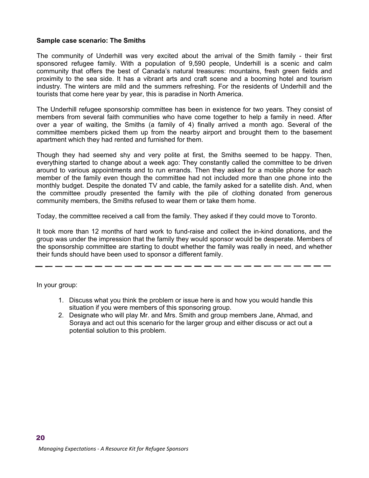#### **Sample case scenario: The Smiths**

The community of Underhill was very excited about the arrival of the Smith family - their first sponsored refugee family. With a population of 9,590 people, Underhill is a scenic and calm community that offers the best of Canada's natural treasures: mountains, fresh green fields and proximity to the sea side. It has a vibrant arts and craft scene and a booming hotel and tourism industry. The winters are mild and the summers refreshing. For the residents of Underhill and the tourists that come here year by year, this is paradise in North America.

The Underhill refugee sponsorship committee has been in existence for two years. They consist of members from several faith communities who have come together to help a family in need. After over a year of waiting, the Smiths (a family of 4) finally arrived a month ago. Several of the committee members picked them up from the nearby airport and brought them to the basement apartment which they had rented and furnished for them.

Though they had seemed shy and very polite at first, the Smiths seemed to be happy. Then, everything started to change about a week ago: They constantly called the committee to be driven around to various appointments and to run errands. Then they asked for a mobile phone for each member of the family even though the committee had not included more than one phone into the monthly budget. Despite the donated TV and cable, the family asked for a satellite dish. And, when the committee proudly presented the family with the pile of clothing donated from generous community members, the Smiths refused to wear them or take them home.

Today, the committee received a call from the family. They asked if they could move to Toronto.

It took more than 12 months of hard work to fund-raise and collect the in-kind donations, and the group was under the impression that the family they would sponsor would be desperate. Members of the sponsorship committee are starting to doubt whether the family was really in need, and whether their funds should have been used to sponsor a different family.

In your group:

- 1. Discuss what you think the problem or issue here is and how you would handle this situation if you were members of this sponsoring group.
- 2. Designate who will play Mr. and Mrs. Smith and group members Jane, Ahmad, and Soraya and act out this scenario for the larger group and either discuss or act out a potential solution to this problem.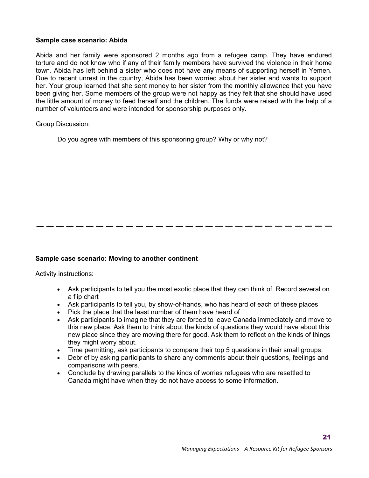#### **Sample case scenario: Abida**

Abida and her family were sponsored 2 months ago from a refugee camp. They have endured torture and do not know who if any of their family members have survived the violence in their home town. Abida has left behind a sister who does not have any means of supporting herself in Yemen. Due to recent unrest in the country, Abida has been worried about her sister and wants to support her. Your group learned that she sent money to her sister from the monthly allowance that you have been giving her. Some members of the group were not happy as they felt that she should have used the little amount of money to feed herself and the children. The funds were raised with the help of a number of volunteers and were intended for sponsorship purposes only.

Group Discussion:

Do you agree with members of this sponsoring group? Why or why not?

#### **Sample case scenario: Moving to another continent**

Activity instructions:

- Ask participants to tell you the most exotic place that they can think of. Record several on a flip chart
- Ask participants to tell you, by show-of-hands, who has heard of each of these places
- Pick the place that the least number of them have heard of
- Ask participants to imagine that they are forced to leave Canada immediately and move to this new place. Ask them to think about the kinds of questions they would have about this new place since they are moving there for good. Ask them to reflect on the kinds of things they might worry about.
- Time permitting, ask participants to compare their top 5 questions in their small groups.
- Debrief by asking participants to share any comments about their questions, feelings and comparisons with peers.
- Conclude by drawing parallels to the kinds of worries refugees who are resettled to Canada might have when they do not have access to some information.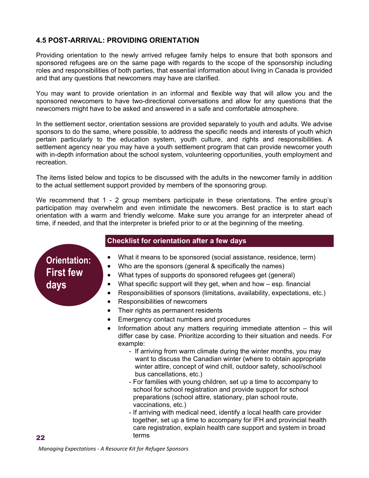#### **4.5 POST-ARRIVAL: PROVIDING ORIENTATION**

Providing orientation to the newly arrived refugee family helps to ensure that both sponsors and sponsored refugees are on the same page with regards to the scope of the sponsorship including roles and responsibilities of both parties, that essential information about living in Canada is provided and that any questions that newcomers may have are clarified.

You may want to provide orientation in an informal and flexible way that will allow you and the sponsored newcomers to have two-directional conversations and allow for any questions that the newcomers might have to be asked and answered in a safe and comfortable atmosphere.

In the settlement sector, orientation sessions are provided separately to youth and adults. We advise sponsors to do the same, where possible, to address the specific needs and interests of youth which pertain particularly to the education system, youth culture, and rights and responsibilities. A settlement agency near you may have a youth settlement program that can provide newcomer youth with in-depth information about the school system, volunteering opportunities, youth employment and recreation.

The items listed below and topics to be discussed with the adults in the newcomer family in addition to the actual settlement support provided by members of the sponsoring group.

We recommend that 1 - 2 group members participate in these orientations. The entire group's participation may overwhelm and even intimidate the newcomers. Best practice is to start each orientation with a warm and friendly welcome. Make sure you arrange for an interpreter ahead of time, if needed, and that the interpreter is briefed prior to or at the beginning of the meeting.

# **Orientation:**

**First few days** 

- **Checklist for orientation after a few days**
- What it means to be sponsored (social assistance, residence, term)
- Who are the sponsors (general & specifically the names)
- What types of supports do sponsored refugees get (general)
- What specific support will they get, when and how esp. financial
- Responsibilities of sponsors (limitations, availability, expectations, etc.)
- Responsibilities of newcomers
- Their rights as permanent residents
- Emergency contact numbers and procedures
- Information about any matters requiring immediate attention this will differ case by case. Prioritize according to their situation and needs. For example:
	- If arriving from warm climate during the winter months, you may want to discuss the Canadian winter (where to obtain appropriate winter attire, concept of wind chill, outdoor safety, school/school bus cancellations, etc.)
	- For families with young children, set up a time to accompany to school for school registration and provide support for school preparations (school attire, stationary, plan school route, vaccinations, etc.)
	- If arriving with medical need, identify a local health care provider together, set up a time to accompany for IFH and provincial health care registration, explain health care support and system in broad terms